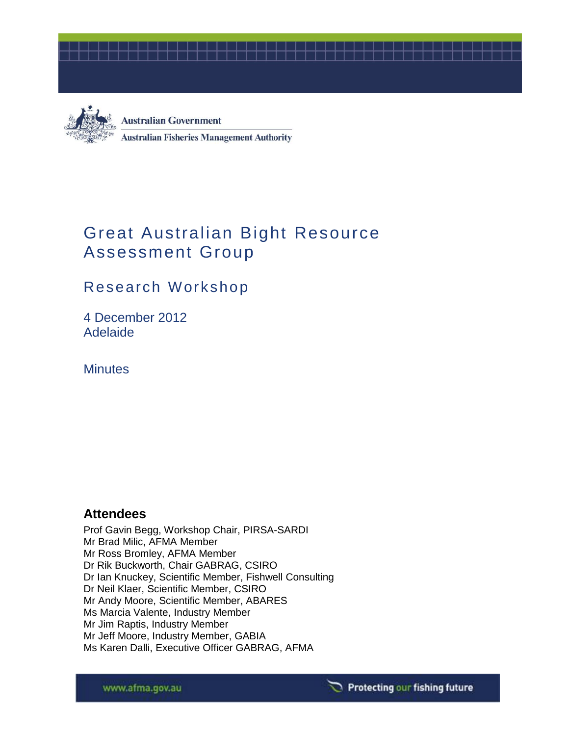

**Australian Government Australian Fisheries Management Authority** 

## Great Australian Bight Resource Assessment Group

Research Workshop

4 December 2012 Adelaide

**Minutes** 

## **Attendees**

Prof Gavin Begg, Workshop Chair, PIRSA-SARDI Mr Brad Milic, AFMA Member Mr Ross Bromley, AFMA Member Dr Rik Buckworth, Chair GABRAG, CSIRO Dr Ian Knuckey, Scientific Member, Fishwell Consulting Dr Neil Klaer, Scientific Member, CSIRO Mr Andy Moore, Scientific Member, ABARES Ms Marcia Valente, Industry Member Mr Jim Raptis, Industry Member Mr Jeff Moore, Industry Member, GABIA Ms Karen Dalli, Executive Officer GABRAG, AFMA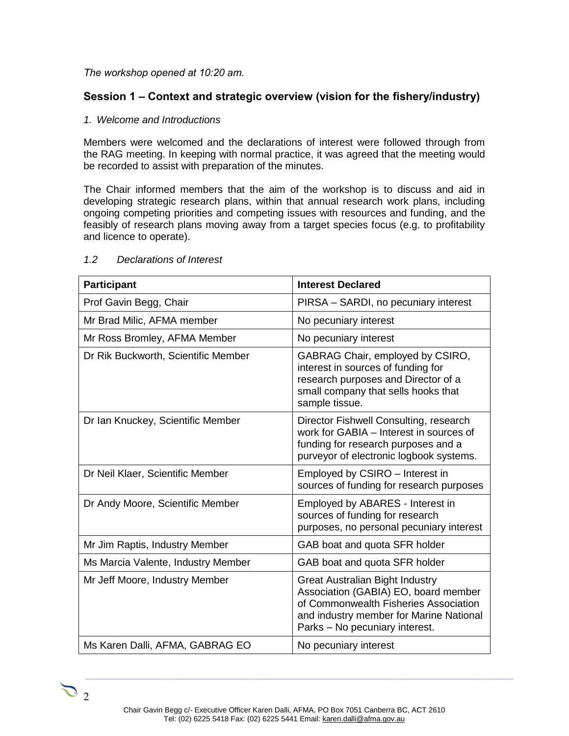*The workshop opened at 10:20 am.* 

### **Session 1 – Context and strategic overview (vision for the fishery/industry)**

#### *1. Welcome and Introductions*

Members were welcomed and the declarations of interest were followed through from the RAG meeting. In keeping with normal practice, it was agreed that the meeting would be recorded to assist with preparation of the minutes.

The Chair informed members that the aim of the workshop is to discuss and aid in developing strategic research plans, within that annual research work plans, including ongoing competing priorities and competing issues with resources and funding, and the feasibly of research plans moving away from a target species focus (e.g. to profitability and licence to operate).

| Participant                         | <b>Interest Declared</b>                                                                                                                                                                             |
|-------------------------------------|------------------------------------------------------------------------------------------------------------------------------------------------------------------------------------------------------|
| Prof Gavin Begg, Chair              | PIRSA – SARDI, no pecuniary interest                                                                                                                                                                 |
| Mr Brad Milic, AFMA member          | No pecuniary interest                                                                                                                                                                                |
| Mr Ross Bromley, AFMA Member        | No pecuniary interest                                                                                                                                                                                |
| Dr Rik Buckworth, Scientific Member | GABRAG Chair, employed by CSIRO,<br>interest in sources of funding for<br>research purposes and Director of a<br>small company that sells hooks that<br>sample tissue.                               |
| Dr Ian Knuckey, Scientific Member   | Director Fishwell Consulting, research<br>work for GABIA - Interest in sources of<br>funding for research purposes and a<br>purveyor of electronic logbook systems.                                  |
| Dr Neil Klaer, Scientific Member    | Employed by CSIRO - Interest in<br>sources of funding for research purposes                                                                                                                          |
| Dr Andy Moore, Scientific Member    | Employed by ABARES - Interest in<br>sources of funding for research<br>purposes, no personal pecuniary interest                                                                                      |
| Mr Jim Raptis, Industry Member      | GAB boat and quota SFR holder                                                                                                                                                                        |
| Ms Marcia Valente, Industry Member  | GAB boat and quota SFR holder                                                                                                                                                                        |
| Mr Jeff Moore, Industry Member      | <b>Great Australian Bight Industry</b><br>Association (GABIA) EO, board member<br>of Commonwealth Fisheries Association<br>and industry member for Marine National<br>Parks - No pecuniary interest. |
| Ms Karen Dalli, AFMA, GABRAG EO     | No pecuniary interest                                                                                                                                                                                |

#### *1.2 Declarations of Interest*

 $\sum_2$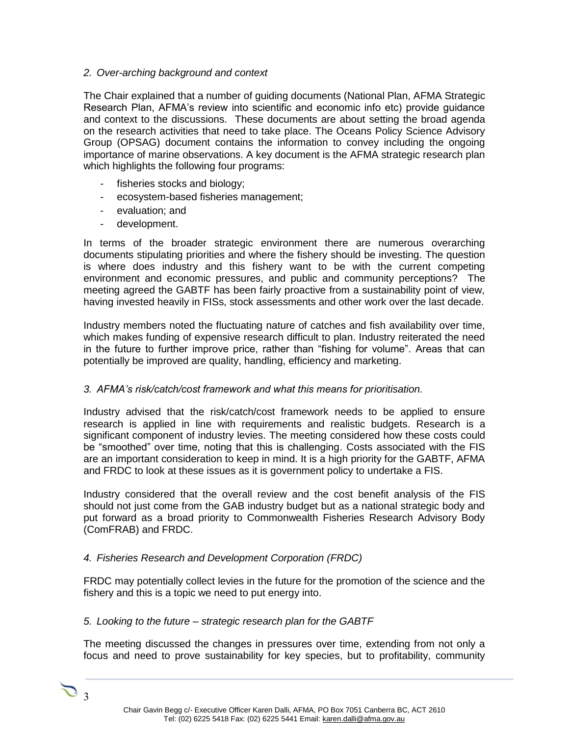#### *2. Over-arching background and context*

The Chair explained that a number of guiding documents (National Plan, AFMA Strategic Research Plan, AFMA's review into scientific and economic info etc) provide guidance and context to the discussions. These documents are about setting the broad agenda on the research activities that need to take place. The Oceans Policy Science Advisory Group (OPSAG) document contains the information to convey including the ongoing importance of marine observations. A key document is the AFMA strategic research plan which highlights the following four programs:

- fisheries stocks and biology;
- ecosystem-based fisheries management;
- evaluation; and
- development.

In terms of the broader strategic environment there are numerous overarching documents stipulating priorities and where the fishery should be investing. The question is where does industry and this fishery want to be with the current competing environment and economic pressures, and public and community perceptions? The meeting agreed the GABTF has been fairly proactive from a sustainability point of view, having invested heavily in FISs, stock assessments and other work over the last decade.

Industry members noted the fluctuating nature of catches and fish availability over time, which makes funding of expensive research difficult to plan. Industry reiterated the need in the future to further improve price, rather than "fishing for volume". Areas that can potentially be improved are quality, handling, efficiency and marketing.

#### *3. AFMA's risk/catch/cost framework and what this means for prioritisation.*

Industry advised that the risk/catch/cost framework needs to be applied to ensure research is applied in line with requirements and realistic budgets. Research is a significant component of industry levies. The meeting considered how these costs could be "smoothed" over time, noting that this is challenging. Costs associated with the FIS are an important consideration to keep in mind. It is a high priority for the GABTF, AFMA and FRDC to look at these issues as it is government policy to undertake a FIS.

Industry considered that the overall review and the cost benefit analysis of the FIS should not just come from the GAB industry budget but as a national strategic body and put forward as a broad priority to Commonwealth Fisheries Research Advisory Body (ComFRAB) and FRDC.

#### *4. Fisheries Research and Development Corporation (FRDC)*

FRDC may potentially collect levies in the future for the promotion of the science and the fishery and this is a topic we need to put energy into.

#### *5. Looking to the future – strategic research plan for the GABTF*

The meeting discussed the changes in pressures over time, extending from not only a focus and need to prove sustainability for key species, but to profitability, community

## $\sum$  3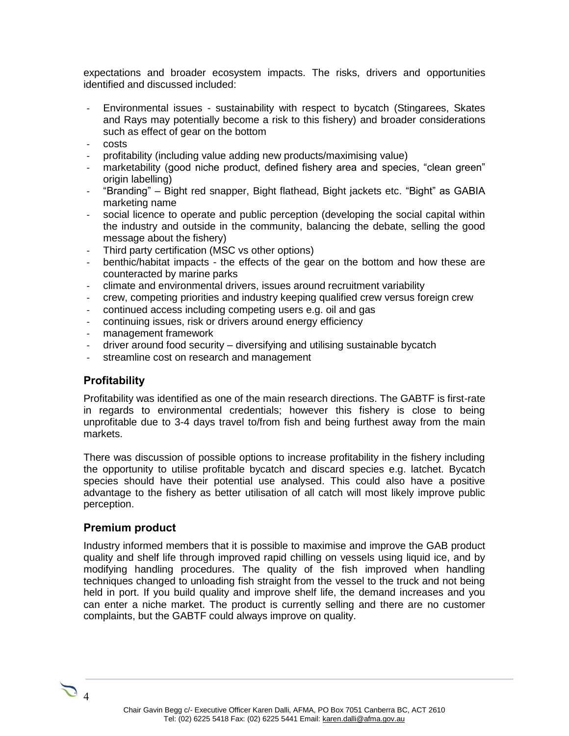expectations and broader ecosystem impacts. The risks, drivers and opportunities identified and discussed included:

- Environmental issues sustainability with respect to bycatch (Stingarees, Skates and Rays may potentially become a risk to this fishery) and broader considerations such as effect of gear on the bottom
- costs
- profitability (including value adding new products/maximising value)
- marketability (good niche product, defined fishery area and species, "clean green" origin labelling)
- "Branding" Bight red snapper, Bight flathead, Bight jackets etc. "Bight" as GABIA marketing name
- social licence to operate and public perception (developing the social capital within the industry and outside in the community, balancing the debate, selling the good message about the fishery)
- Third party certification (MSC vs other options)
- benthic/habitat impacts the effects of the gear on the bottom and how these are counteracted by marine parks
- climate and environmental drivers, issues around recruitment variability
- crew, competing priorities and industry keeping qualified crew versus foreign crew
- continued access including competing users e.g. oil and gas
- continuing issues, risk or drivers around energy efficiency
- management framework
- driver around food security diversifying and utilising sustainable bycatch
- streamline cost on research and management

## **Profitability**

Profitability was identified as one of the main research directions. The GABTF is first-rate in regards to environmental credentials; however this fishery is close to being unprofitable due to 3-4 days travel to/from fish and being furthest away from the main markets.

There was discussion of possible options to increase profitability in the fishery including the opportunity to utilise profitable bycatch and discard species e.g. latchet. Bycatch species should have their potential use analysed. This could also have a positive advantage to the fishery as better utilisation of all catch will most likely improve public perception.

#### **Premium product**

Industry informed members that it is possible to maximise and improve the GAB product quality and shelf life through improved rapid chilling on vessels using liquid ice, and by modifying handling procedures. The quality of the fish improved when handling techniques changed to unloading fish straight from the vessel to the truck and not being held in port. If you build quality and improve shelf life, the demand increases and you can enter a niche market. The product is currently selling and there are no customer complaints, but the GABTF could always improve on quality.

# $\sum_{4}$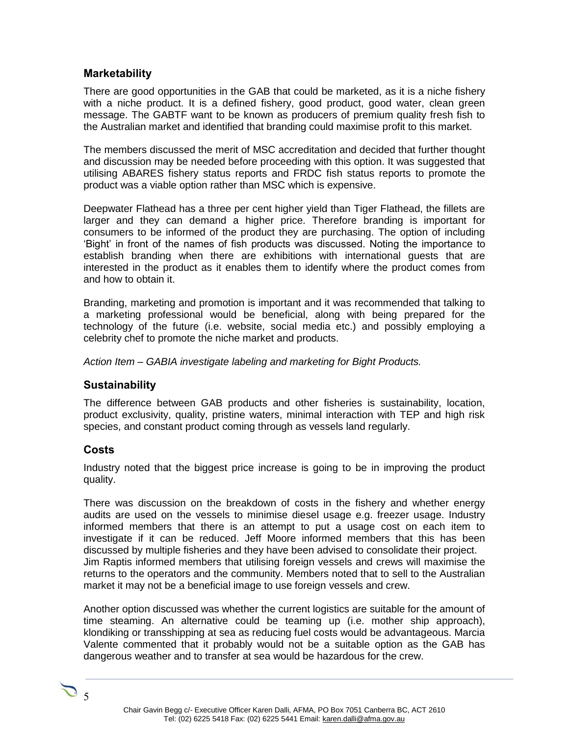## **Marketability**

There are good opportunities in the GAB that could be marketed, as it is a niche fishery with a niche product. It is a defined fishery, good product, good water, clean green message. The GABTF want to be known as producers of premium quality fresh fish to the Australian market and identified that branding could maximise profit to this market.

The members discussed the merit of MSC accreditation and decided that further thought and discussion may be needed before proceeding with this option. It was suggested that utilising ABARES fishery status reports and FRDC fish status reports to promote the product was a viable option rather than MSC which is expensive.

Deepwater Flathead has a three per cent higher yield than Tiger Flathead, the fillets are larger and they can demand a higher price. Therefore branding is important for consumers to be informed of the product they are purchasing. The option of including 'Bight' in front of the names of fish products was discussed. Noting the importance to establish branding when there are exhibitions with international guests that are interested in the product as it enables them to identify where the product comes from and how to obtain it.

Branding, marketing and promotion is important and it was recommended that talking to a marketing professional would be beneficial, along with being prepared for the technology of the future (i.e. website, social media etc.) and possibly employing a celebrity chef to promote the niche market and products.

*Action Item – GABIA investigate labeling and marketing for Bight Products.*

## **Sustainability**

The difference between GAB products and other fisheries is sustainability, location, product exclusivity, quality, pristine waters, minimal interaction with TEP and high risk species, and constant product coming through as vessels land regularly.

## **Costs**

Industry noted that the biggest price increase is going to be in improving the product quality.

There was discussion on the breakdown of costs in the fishery and whether energy audits are used on the vessels to minimise diesel usage e.g. freezer usage. Industry informed members that there is an attempt to put a usage cost on each item to investigate if it can be reduced. Jeff Moore informed members that this has been discussed by multiple fisheries and they have been advised to consolidate their project. Jim Raptis informed members that utilising foreign vessels and crews will maximise the returns to the operators and the community. Members noted that to sell to the Australian market it may not be a beneficial image to use foreign vessels and crew.

Another option discussed was whether the current logistics are suitable for the amount of time steaming. An alternative could be teaming up (i.e. mother ship approach), klondiking or transshipping at sea as reducing fuel costs would be advantageous. Marcia Valente commented that it probably would not be a suitable option as the GAB has dangerous weather and to transfer at sea would be hazardous for the crew.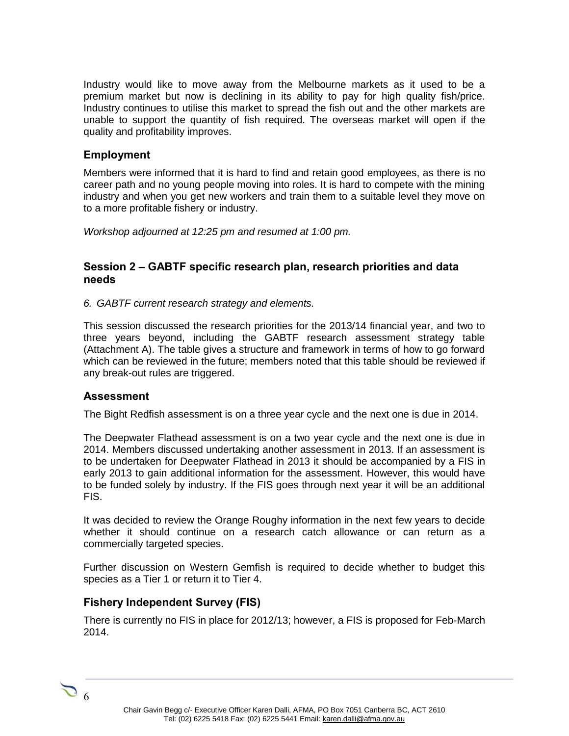Industry would like to move away from the Melbourne markets as it used to be a premium market but now is declining in its ability to pay for high quality fish/price. Industry continues to utilise this market to spread the fish out and the other markets are unable to support the quantity of fish required. The overseas market will open if the quality and profitability improves.

## **Employment**

Members were informed that it is hard to find and retain good employees, as there is no career path and no young people moving into roles. It is hard to compete with the mining industry and when you get new workers and train them to a suitable level they move on to a more profitable fishery or industry.

*Workshop adjourned at 12:25 pm and resumed at 1:00 pm.*

## **Session 2 – GABTF specific research plan, research priorities and data needs**

*6. GABTF current research strategy and elements.*

This session discussed the research priorities for the 2013/14 financial year, and two to three years beyond, including the GABTF research assessment strategy table (Attachment A). The table gives a structure and framework in terms of how to go forward which can be reviewed in the future; members noted that this table should be reviewed if any break-out rules are triggered.

#### **Assessment**

The Bight Redfish assessment is on a three year cycle and the next one is due in 2014.

The Deepwater Flathead assessment is on a two year cycle and the next one is due in 2014. Members discussed undertaking another assessment in 2013. If an assessment is to be undertaken for Deepwater Flathead in 2013 it should be accompanied by a FIS in early 2013 to gain additional information for the assessment. However, this would have to be funded solely by industry. If the FIS goes through next year it will be an additional FIS.

It was decided to review the Orange Roughy information in the next few years to decide whether it should continue on a research catch allowance or can return as a commercially targeted species.

Further discussion on Western Gemfish is required to decide whether to budget this species as a Tier 1 or return it to Tier 4.

#### **Fishery Independent Survey (FIS)**

There is currently no FIS in place for 2012/13; however, a FIS is proposed for Feb-March 2014.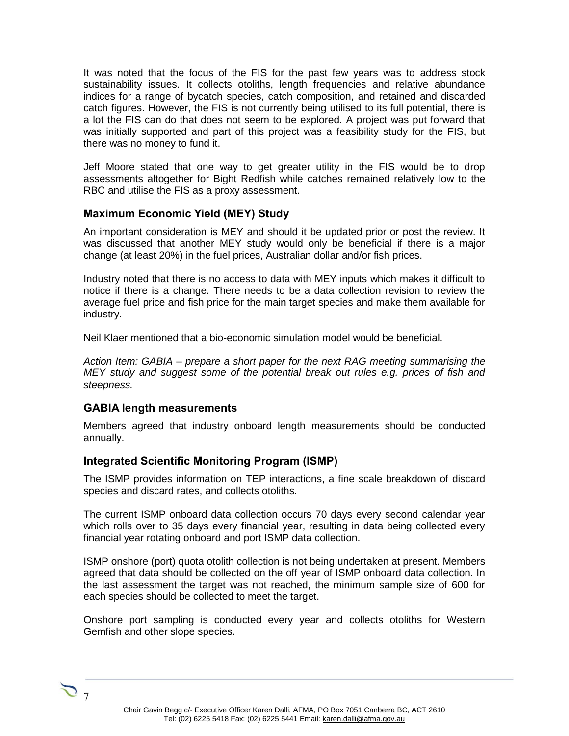It was noted that the focus of the FIS for the past few years was to address stock sustainability issues. It collects otoliths, length frequencies and relative abundance indices for a range of bycatch species, catch composition, and retained and discarded catch figures. However, the FIS is not currently being utilised to its full potential, there is a lot the FIS can do that does not seem to be explored. A project was put forward that was initially supported and part of this project was a feasibility study for the FIS, but there was no money to fund it.

Jeff Moore stated that one way to get greater utility in the FIS would be to drop assessments altogether for Bight Redfish while catches remained relatively low to the RBC and utilise the FIS as a proxy assessment.

## **Maximum Economic Yield (MEY) Study**

An important consideration is MEY and should it be updated prior or post the review. It was discussed that another MEY study would only be beneficial if there is a major change (at least 20%) in the fuel prices, Australian dollar and/or fish prices.

Industry noted that there is no access to data with MEY inputs which makes it difficult to notice if there is a change. There needs to be a data collection revision to review the average fuel price and fish price for the main target species and make them available for industry.

Neil Klaer mentioned that a bio-economic simulation model would be beneficial.

*Action Item: GABIA – prepare a short paper for the next RAG meeting summarising the MEY study and suggest some of the potential break out rules e.g. prices of fish and steepness.*

#### **GABIA length measurements**

Members agreed that industry onboard length measurements should be conducted annually.

#### **Integrated Scientific Monitoring Program (ISMP)**

The ISMP provides information on TEP interactions, a fine scale breakdown of discard species and discard rates, and collects otoliths.

The current ISMP onboard data collection occurs 70 days every second calendar year which rolls over to 35 days every financial year, resulting in data being collected every financial year rotating onboard and port ISMP data collection.

ISMP onshore (port) quota otolith collection is not being undertaken at present. Members agreed that data should be collected on the off year of ISMP onboard data collection. In the last assessment the target was not reached, the minimum sample size of 600 for each species should be collected to meet the target.

Onshore port sampling is conducted every year and collects otoliths for Western Gemfish and other slope species.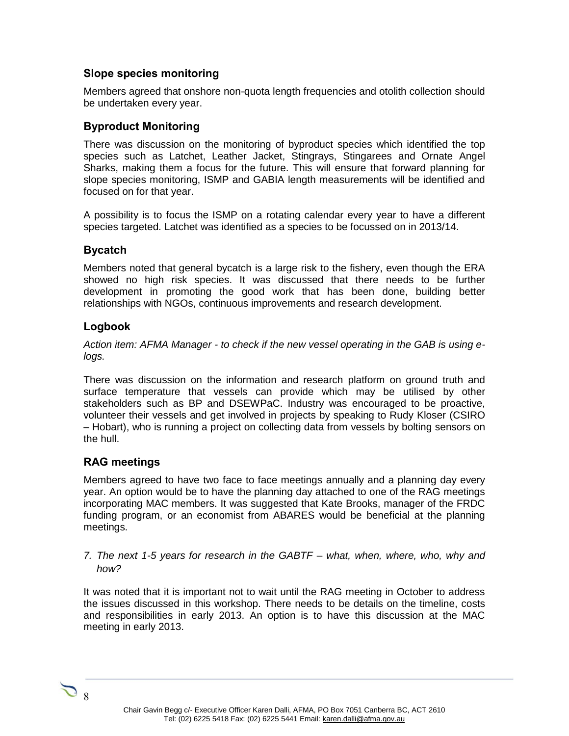## **Slope species monitoring**

Members agreed that onshore non-quota length frequencies and otolith collection should be undertaken every year.

## **Byproduct Monitoring**

There was discussion on the monitoring of byproduct species which identified the top species such as Latchet, Leather Jacket, Stingrays, Stingarees and Ornate Angel Sharks, making them a focus for the future. This will ensure that forward planning for slope species monitoring, ISMP and GABIA length measurements will be identified and focused on for that year.

A possibility is to focus the ISMP on a rotating calendar every year to have a different species targeted. Latchet was identified as a species to be focussed on in 2013/14.

## **Bycatch**

Members noted that general bycatch is a large risk to the fishery, even though the ERA showed no high risk species. It was discussed that there needs to be further development in promoting the good work that has been done, building better relationships with NGOs, continuous improvements and research development.

### **Logbook**

*Action item: AFMA Manager - to check if the new vessel operating in the GAB is using elogs.*

There was discussion on the information and research platform on ground truth and surface temperature that vessels can provide which may be utilised by other stakeholders such as BP and DSEWPaC. Industry was encouraged to be proactive, volunteer their vessels and get involved in projects by speaking to Rudy Kloser (CSIRO – Hobart), who is running a project on collecting data from vessels by bolting sensors on the hull.

## **RAG meetings**

Members agreed to have two face to face meetings annually and a planning day every year. An option would be to have the planning day attached to one of the RAG meetings incorporating MAC members. It was suggested that Kate Brooks, manager of the FRDC funding program, or an economist from ABARES would be beneficial at the planning meetings.

#### *7. The next 1-5 years for research in the GABTF – what, when, where, who, why and how?*

It was noted that it is important not to wait until the RAG meeting in October to address the issues discussed in this workshop. There needs to be details on the timeline, costs and responsibilities in early 2013. An option is to have this discussion at the MAC meeting in early 2013.

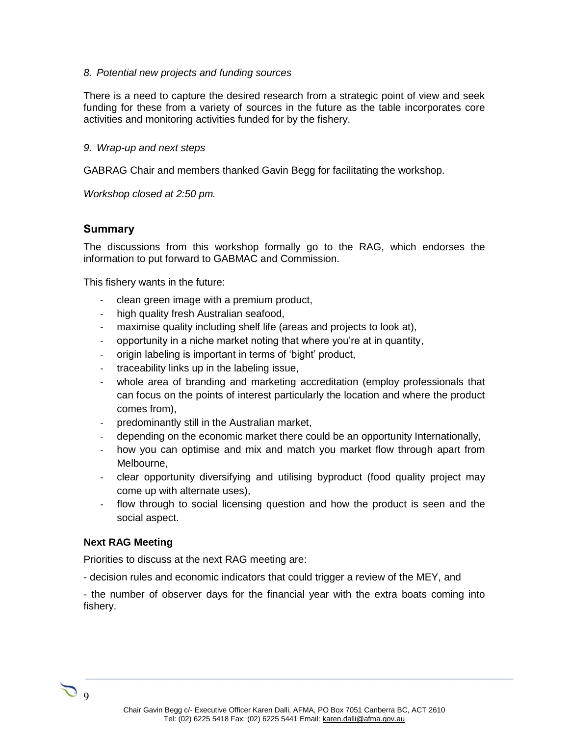#### *8. Potential new projects and funding sources*

There is a need to capture the desired research from a strategic point of view and seek funding for these from a variety of sources in the future as the table incorporates core activities and monitoring activities funded for by the fishery.

#### *9. Wrap-up and next steps*

GABRAG Chair and members thanked Gavin Begg for facilitating the workshop.

*Workshop closed at 2:50 pm.*

### **Summary**

The discussions from this workshop formally go to the RAG, which endorses the information to put forward to GABMAC and Commission.

This fishery wants in the future:

- clean green image with a premium product,
- high quality fresh Australian seafood.
- maximise quality including shelf life (areas and projects to look at),
- opportunity in a niche market noting that where you're at in quantity,
- origin labeling is important in terms of 'bight' product,
- traceability links up in the labeling issue,
- whole area of branding and marketing accreditation (employ professionals that can focus on the points of interest particularly the location and where the product comes from),
- predominantly still in the Australian market,
- depending on the economic market there could be an opportunity Internationally,
- how you can optimise and mix and match you market flow through apart from Melbourne,
- clear opportunity diversifying and utilising byproduct (food quality project may come up with alternate uses),
- flow through to social licensing question and how the product is seen and the social aspect.

#### **Next RAG Meeting**

Priorities to discuss at the next RAG meeting are:

- decision rules and economic indicators that could trigger a review of the MEY, and

- the number of observer days for the financial year with the extra boats coming into fishery.